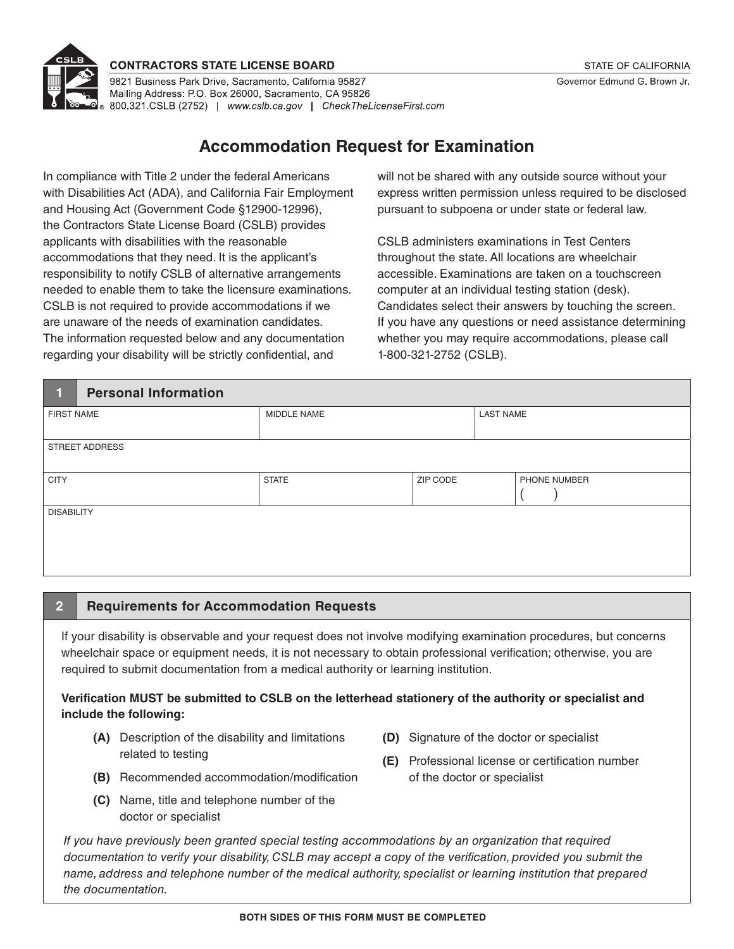

#### **CONTRACTORS STATE LICENSE BOARD**

9821 Business Park Drive, Sacramento, California 95827 Mailing Address: P.O. Box 26000, Sacramento, CA 95826 ේ 800.321.CSLB (2752) | www.cslb.ca.gov | CheckTheLicenseFirst.com

# **Accommodation Request for Examination**

In compliance with Title 2 under the federal Americans with Disabilities Act (ADA), and California Fair Employment and Housing Act (Government Code §12900-12996), the Contractors State License Board (CSLB) provides applicants with disabilities with the reasonable accommodations that they need. It is the applicant's responsibility to notify CSLB of alternative arrangements needed to enable them to take the licensure examinations. CSLB is not required to provide accommodations if we are unaware of the needs of examination candidates. The information requested below and any documentation regarding your disability will be strictly confidential, and

will not be shared with any outside source without your express written permission unless required to be disclosed pursuant to subpoena or under state or federal law.

CSLB administers examinations in Test Centers throughout the state. All locations are wheelchair accessible. Examinations are taken on a touchscreen computer at an individual testing station (desk). Candidates select their answers by touching the screen. If you have any questions or need assistance determining whether you may require accommodations, please call 1-800-321-2752 (CSLB).

| <b>Personal Information</b><br>1. |              |          |                  |              |  |  |  |  |
|-----------------------------------|--------------|----------|------------------|--------------|--|--|--|--|
| <b>FIRST NAME</b>                 | MIDDLE NAME  |          | <b>LAST NAME</b> |              |  |  |  |  |
| <b>STREET ADDRESS</b>             |              |          |                  |              |  |  |  |  |
| <b>CITY</b>                       | <b>STATE</b> | ZIP CODE |                  | PHONE NUMBER |  |  |  |  |
| <b>DISABILITY</b>                 |              |          |                  |              |  |  |  |  |

### **2 Requirements for Accommodation Requests**

If your disability is observable and your request does not involve modifying examination procedures, but concerns wheelchair space or equipment needs, it is not necessary to obtain professional verification; otherwise, you are required to submit documentation from a medical authority or learning institution.

#### **Verification MUST be submitted to CSLB on the letterhead stationery of the authority or specialist and include the following:**

- **(A)** Description of the disability and limitations related to testing
- **(D)** Signature of the doctor or specialist
- **(E)** Professional license or certification number of the doctor or specialist
- **(B)** Recommended accommodation/modification
- **(C)** Name, title and telephone number of the doctor or specialist

*If you have previously been granted special testing accommodations by an organization that required*  documentation to verify your disability, CSLB may accept a copy of the verification, provided you submit the *name, address and telephone number of the medical authority, specialist or learning institution that prepared the documentation.*